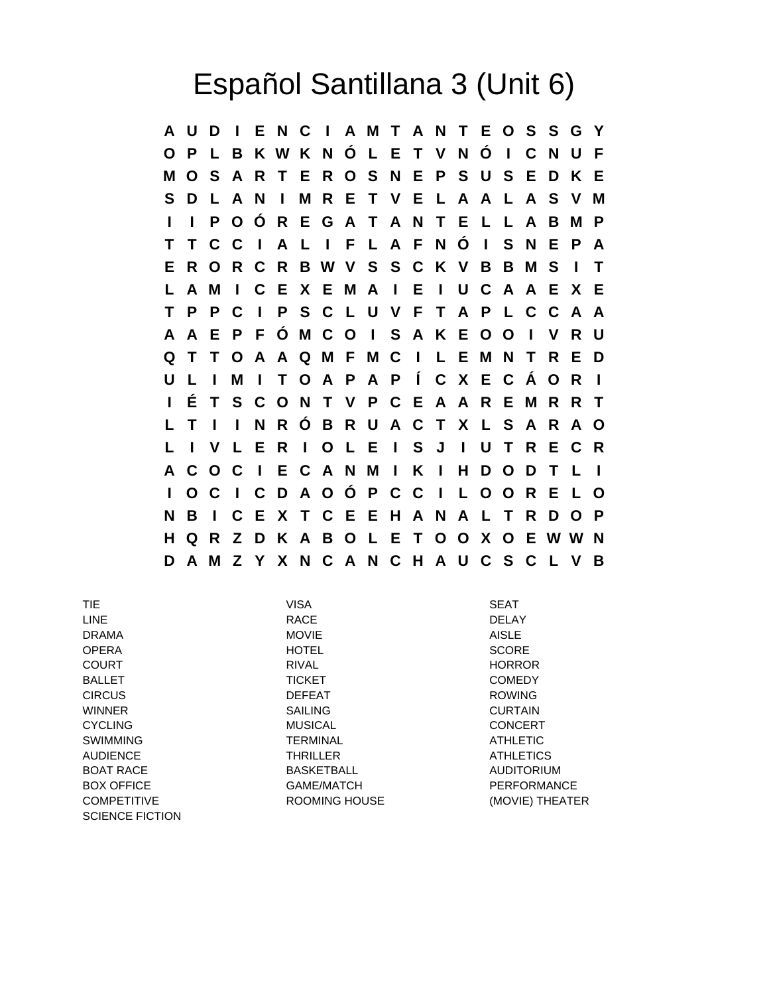## Español Santillana 3 (Unit 6)

**A U D I E N C I A M T A N T E O S S G Y O P L B K W K N Ó L E T V N Ó I C N U F M O S A R T E R O S N E P S U S E D K E S D L A N I M R E T V E L A A L A S V M I I P O Ó R E G A T A N T E L L A B M P T T C C I A L I F L A F N Ó I S N E P A E R O R C R B W V S S C K V B B M S I T L A M I C E X E M A I E I U C A A E X E T P P C I P S C L U V F T A P L C C A A A A E P F Ó M C O I S A K E O O I V R U Q T T O A A Q M F M C I L E M N T R E D U L I M I T O A P A P Í C X E C Á O R I I É T S C O N T V P C E A A R E M R R T L T I I N R Ó B R U A C T X L S A R A O L I V L E R I O L E I S J I U T R E C R A C O C I E C A N M I K I H D O D T L I I O C I C D A O Ó P C C I L O O R E L O N B I C E X T C E E H A N A L T R D O P H Q R Z D K A B O L E T O O X O E W W N D A M Z Y X N C A N C H A U C S C L V B**

TIE VISA SEAT LINE RACE DELAY DRAMA MOVIE AISLE OPERA HOTEL SCORE COURT RIVAL HORROR BALLET TICKET COMEDY CIRCUS DEFEAT ROWING WINNER SAILING CURTAIN CYCLING MUSICAL CONCERT SWIMMING **TERMINAL** TERMINAL ATHLETIC AUDIENCE THRILLER ATHLETICS BOAT RACE **BASKETBALL** BASKET AUDITORIUM BOX OFFICE GAME/MATCH GAME/MATCH PERFORMANCE COMPETITIVE **EXAMPLE ROOMING HOUSE** (MOVIE) THEATER SCIENCE FICTION